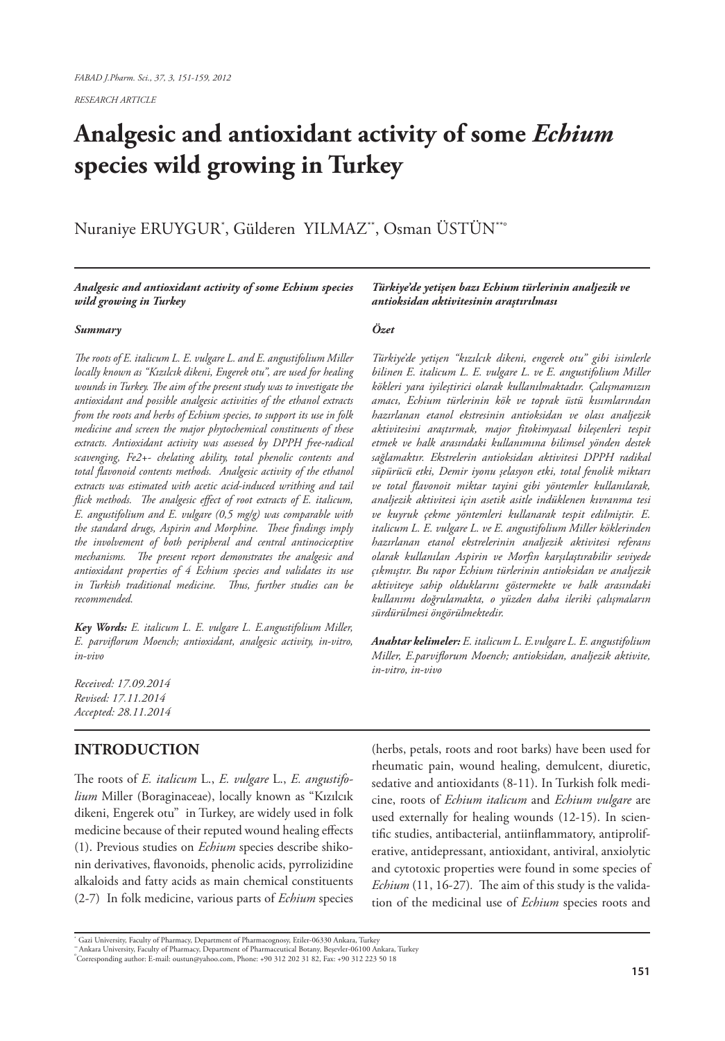*RESEARCH ARTICLE*

# **Analgesic and antioxidant activity of some** *Echium* **species wild growing in Turkey**

Nuraniye ERUYGUR\* , Gülderen YILMAZ\*\*, Osman ÜSTÜN\*\*<sup>o</sup>

#### *Analgesic and antioxidant activity of some Echium species wild growing in Turkey*

#### *Summary*

*The roots of E. italicum L. E. vulgare L. and E. angustifolium Miller locally known as "Kızılcık dikeni, Engerek otu", are used for healing wounds in Turkey. The aim of the present study was to investigate the antioxidant and possible analgesic activities of the ethanol extracts from the roots and herbs of Echium species, to support its use in folk medicine and screen the major phytochemical constituents of these extracts. Antioxidant activity was assessed by DPPH free-radical scavenging, Fe2+- chelating ability, total phenolic contents and total flavonoid contents methods. Analgesic activity of the ethanol extracts was estimated with acetic acid-induced writhing and tail flick methods. The analgesic effect of root extracts of E. italicum, E. angustifolium and E. vulgare (0,5 mg/g) was comparable with the standard drugs, Aspirin and Morphine. These findings imply the involvement of both peripheral and central antinociceptive mechanisms. The present report demonstrates the analgesic and antioxidant properties of 4 Echium species and validates its use in Turkish traditional medicine. Thus, further studies can be recommended.*

*Key Words: E. italicum L. E. vulgare L. E.angustifolium Miller, E. parviflorum Moench; antioxidant, analgesic activity, in-vitro, in-vivo*

*Received: 17.09.2014 Revised: 17.11.2014 Accepted: 28.11.2014*

## **INTRODUCTION**

The roots of *E. italicum* L., *E. vulgare* L., *E. angustifolium* Miller (Boraginaceae), locally known as "Kızılcık dikeni, Engerek otu" in Turkey, are widely used in folk medicine because of their reputed wound healing effects (1). Previous studies on *Echium* species describe shikonin derivatives, flavonoids, phenolic acids, pyrrolizidine alkaloids and fatty acids as main chemical constituents (2-7) In folk medicine, various parts of *Echium* species

*Türkiye'de yetişen bazı Echium türlerinin analjezik ve antioksidan aktivitesinin araştırılması*

#### *Özet*

*Türkiye'de yetişen "kızılcık dikeni, engerek otu" gibi isimlerle bilinen E. italicum L. E. vulgare L. ve E. angustifolium Miller kökleri yara iyileştirici olarak kullanılmaktadır. Çalışmamızın amacı, Echium türlerinin kök ve toprak üstü kısımlarından hazırlanan etanol ekstresinin antioksidan ve olası analjezik aktivitesini araştırmak, major fitokimyasal bileşenleri tespit etmek ve halk arasındaki kullanımına bilimsel yönden destek sağlamaktır. Ekstrelerin antioksidan aktivitesi DPPH radikal süpürücü etki, Demir iyonu şelasyon etki, total fenolik miktarı ve total flavonoit miktar tayini gibi yöntemler kullanılarak, analjezik aktivitesi için asetik asitle indüklenen kıvranma tesi ve kuyruk çekme yöntemleri kullanarak tespit edilmiştir. E. italicum L. E. vulgare L. ve E. angustifolium Miller köklerinden hazırlanan etanol ekstrelerinin analjezik aktivitesi referans olarak kullanılan Aspirin ve Morfin karşılaştırabilir seviyede çıkmıştır. Bu rapor Echium türlerinin antioksidan ve analjezik aktiviteye sahip olduklarını göstermekte ve halk arasındaki kullanımı doğrulamakta, o yüzden daha ileriki çalışmaların sürdürülmesi öngörülmektedir.*

*Anahtar kelimeler: E. italicum L. E.vulgare L. E. angustifolium Miller, E.parviflorum Moench; antioksidan, analjezik aktivite, in-vitro, in-vivo*

(herbs, petals, roots and root barks) have been used for rheumatic pain, wound healing, demulcent, diuretic, sedative and antioxidants (8-11). In Turkish folk medicine, roots of *Echium italicum* and *Echium vulgare* are used externally for healing wounds (12-15). In scientific studies, antibacterial, antiinflammatory, antiproliferative, antidepressant, antioxidant, antiviral, anxiolytic and cytotoxic properties were found in some species of *Echium* (11, 16-27)*.* The aim of this study is the validation of the medicinal use of *Echium* species roots and

<sup>\*</sup> Gazi University, Faculty of Pharmacy, Department of Pharmacognosy, Etiler-06330 Ankara, Turkey

<sup>&</sup>quot; Ankara University, Faculty of Pharmacy, Department of Pharmaceutical Botany, Beșevler-06100 Ankara, Turkey<br>°Corresponding author: E-mail: oustun@yahoo.com, Phone: +90 312 202 31 82, Fax: +90 312 223 50 18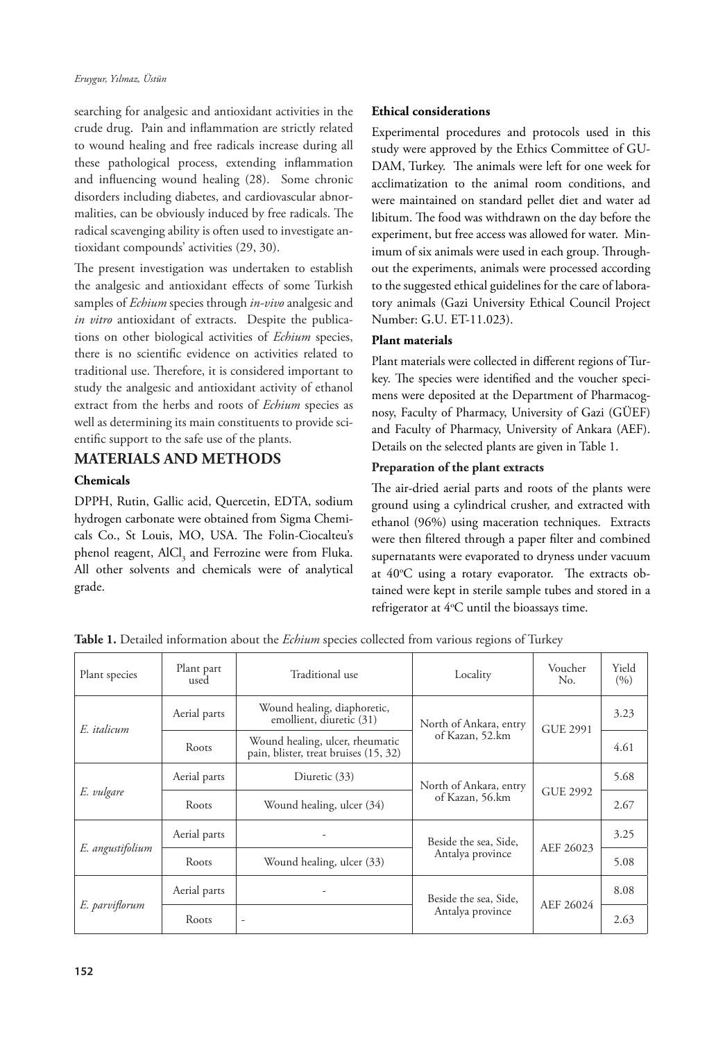searching for analgesic and antioxidant activities in the crude drug. Pain and inflammation are strictly related to wound healing and free radicals increase during all these pathological process, extending inflammation and influencing wound healing (28). Some chronic disorders including diabetes, and cardiovascular abnormalities, can be obviously induced by free radicals. The radical scavenging ability is often used to investigate antioxidant compounds' activities (29, 30).

The present investigation was undertaken to establish the analgesic and antioxidant effects of some Turkish samples of *Echium* species through *in-vivo* analgesic and *in vitro* antioxidant of extracts. Despite the publications on other biological activities of *Echium* species, there is no scientific evidence on activities related to traditional use. Therefore, it is considered important to study the analgesic and antioxidant activity of ethanol extract from the herbs and roots of *Echium* species as well as determining its main constituents to provide scientific support to the safe use of the plants.

# **MATERIALS AND METHODS**

## **Chemicals**

DPPH, Rutin, Gallic acid, Quercetin, EDTA, sodium hydrogen carbonate were obtained from Sigma Chemicals Co., St Louis, MO, USA. The Folin-Ciocalteu's phenol reagent, AlCl<sub>3</sub> and Ferrozine were from Fluka. All other solvents and chemicals were of analytical grade.

## **Ethical considerations**

Experimental procedures and protocols used in this study were approved by the Ethics Committee of GU-DAM, Turkey. The animals were left for one week for acclimatization to the animal room conditions, and were maintained on standard pellet diet and water ad libitum. The food was withdrawn on the day before the experiment, but free access was allowed for water. Minimum of six animals were used in each group. Throughout the experiments, animals were processed according to the suggested ethical guidelines for the care of laboratory animals (Gazi University Ethical Council Project Number: G.U. ET-11.023).

## **Plant materials**

Plant materials were collected in different regions of Turkey. The species were identified and the voucher specimens were deposited at the Department of Pharmacognosy, Faculty of Pharmacy, University of Gazi (GÜEF) and Faculty of Pharmacy, University of Ankara (AEF). Details on the selected plants are given in Table 1.

## **Preparation of the plant extracts**

The air-dried aerial parts and roots of the plants were ground using a cylindrical crusher, and extracted with ethanol (96%) using maceration techniques. Extracts were then filtered through a paper filter and combined supernatants were evaporated to dryness under vacuum at 40°C using a rotary evaporator. The extracts obtained were kept in sterile sample tubes and stored in a refrigerator at  $4^{\circ}$ C until the bioassays time.

| Plant species    | Plant part<br>used | Traditional use                                                                   | Locality               |                 | Yield<br>(9/0) |
|------------------|--------------------|-----------------------------------------------------------------------------------|------------------------|-----------------|----------------|
| E. italicum      | Aerial parts       | Wound healing, diaphoretic,<br>emollient, diuretic (31)<br>North of Ankara, entry |                        | <b>GUE 2991</b> | 3.23           |
|                  | Roots              | Wound healing, ulcer, rheumatic<br>pain, blister, treat bruises (15, 32)          | of Kazan, 52.km        |                 | 4.61           |
| E. vulgare       | Aerial parts       | Diuretic (33)                                                                     | North of Ankara, entry | GUE 2992        | 5.68           |
|                  | Roots              | Wound healing, ulcer (34)                                                         | of Kazan, 56.km        |                 | 2.67           |
| E. angustifolium | Aerial parts       |                                                                                   | Beside the sea, Side,  | AEF 26023       | 3.25           |
|                  | Roots              | Wound healing, ulcer (33)                                                         | Antalya province       |                 | 5.08           |
| E. parviflorum   | Aerial parts       |                                                                                   | Beside the sea, Side,  | AEF 26024       | 8.08           |
|                  | Roots              |                                                                                   | Antalya province       |                 | 2.63           |

**Table 1.** Detailed information about the *Echium* species collected from various regions of Turkey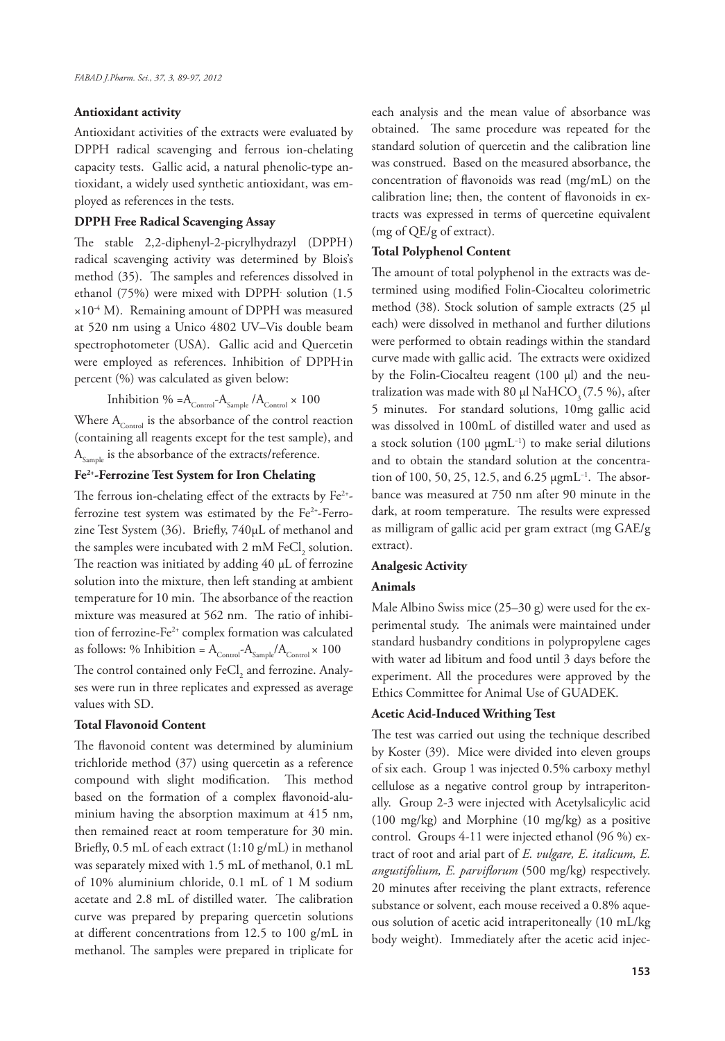#### **Antioxidant activity**

Antioxidant activities of the extracts were evaluated by DPPH radical scavenging and ferrous ion-chelating capacity tests. Gallic acid, a natural phenolic-type antioxidant, a widely used synthetic antioxidant, was employed as references in the tests.

## **DPPH Free Radical Scavenging Assay**

The stable 2,2-diphenyl-2-picrylhydrazyl (DPPH. ) radical scavenging activity was determined by Blois's method (35). The samples and references dissolved in ethanol (75%) were mixed with DPPH. solution (1.5  $\times 10^{-4}$  M). Remaining amount of DPPH was measured at 520 nm using a Unico 4802 UV–Vis double beam spectrophotometer (USA). Gallic acid and Quercetin were employed as references. Inhibition of DPPH. in percent (%) was calculated as given below:

Inhibition % =  $A_{\text{Control}}$ - $A_{\text{Sample}} / A_{\text{Control}} \times 100$ 

Where  $A_{\text{Control}}$  is the absorbance of the control reaction (containing all reagents except for the test sample), and  $A_{\text{Sample}}$  is the absorbance of the extracts/reference.

## **Fe2+-Ferrozine Test System for Iron Chelating**

The ferrous ion-chelating effect of the extracts by  $Fe^{2+}$ ferrozine test system was estimated by the  $Fe<sup>2+</sup>$ -Ferrozine Test System (36). Briefly, 740µL of methanol and the samples were incubated with 2 mM  $\text{FeCl}_2$  solution. The reaction was initiated by adding 40 µL of ferrozine solution into the mixture, then left standing at ambient temperature for 10 min. The absorbance of the reaction mixture was measured at 562 nm. The ratio of inhibition of ferrozine-Fe<sup>2+</sup> complex formation was calculated as follows: % Inhibition =  $\rm A_{\rm Control}{\sim} A_{\rm Sample}/A_{\rm Control} {\times}$  100 The control contained only  $\mathrm{FeCl}_2$  and ferrozine. Analyses were run in three replicates and expressed as average values with SD.

#### **Total Flavonoid Content**

The flavonoid content was determined by aluminium trichloride method (37) using quercetin as a reference compound with slight modification. This method based on the formation of a complex flavonoid-aluminium having the absorption maximum at 415 nm, then remained react at room temperature for 30 min. Briefly, 0.5 mL of each extract (1:10 g/mL) in methanol was separately mixed with 1.5 mL of methanol, 0.1 mL of 10% aluminium chloride, 0.1 mL of 1 M sodium acetate and 2.8 mL of distilled water. The calibration curve was prepared by preparing quercetin solutions at different concentrations from 12.5 to 100 g/mL in methanol. The samples were prepared in triplicate for

each analysis and the mean value of absorbance was obtained. The same procedure was repeated for the standard solution of quercetin and the calibration line was construed. Based on the measured absorbance, the concentration of flavonoids was read (mg/mL) on the calibration line; then, the content of flavonoids in extracts was expressed in terms of quercetine equivalent (mg of QE/g of extract).

#### **Total Polyphenol Content**

The amount of total polyphenol in the extracts was determined using modified Folin-Ciocalteu colorimetric method (38). Stock solution of sample extracts (25 µl each) were dissolved in methanol and further dilutions were performed to obtain readings within the standard curve made with gallic acid. The extracts were oxidized by the Folin-Ciocalteu reagent (100 µl) and the neutralization was made with 80 µl Na $HCO<sub>3</sub>(7.5%)$ , after 5 minutes. For standard solutions, 10mg gallic acid was dissolved in 100mL of distilled water and used as a stock solution (100  $\mu$ gmL<sup>-1</sup>) to make serial dilutions and to obtain the standard solution at the concentration of 100, 50, 25, 12.5, and 6.25 µgmL−1. The absorbance was measured at 750 nm after 90 minute in the dark, at room temperature. The results were expressed as milligram of gallic acid per gram extract (mg GAE/g extract).

## **Analgesic Activity**

### **Animals**

Male Albino Swiss mice (25–30 g) were used for the experimental study. The animals were maintained under standard husbandry conditions in polypropylene cages with water ad libitum and food until 3 days before the experiment. All the procedures were approved by the Ethics Committee for Animal Use of GUADEK.

#### **Acetic Acid-Induced Writhing Test**

The test was carried out using the technique described by Koster (39). Mice were divided into eleven groups of six each. Group 1 was injected 0.5% carboxy methyl cellulose as a negative control group by intraperitonally. Group 2-3 were injected with Acetylsalicylic acid (100 mg/kg) and Morphine (10 mg/kg) as a positive control. Groups 4-11 were injected ethanol (96 %) extract of root and arial part of *E. vulgare, E. italicum, E. angustifolium, E. parviflorum* (500 mg/kg) respectively. 20 minutes after receiving the plant extracts, reference substance or solvent, each mouse received a 0.8% aqueous solution of acetic acid intraperitoneally (10 mL/kg body weight). Immediately after the acetic acid injec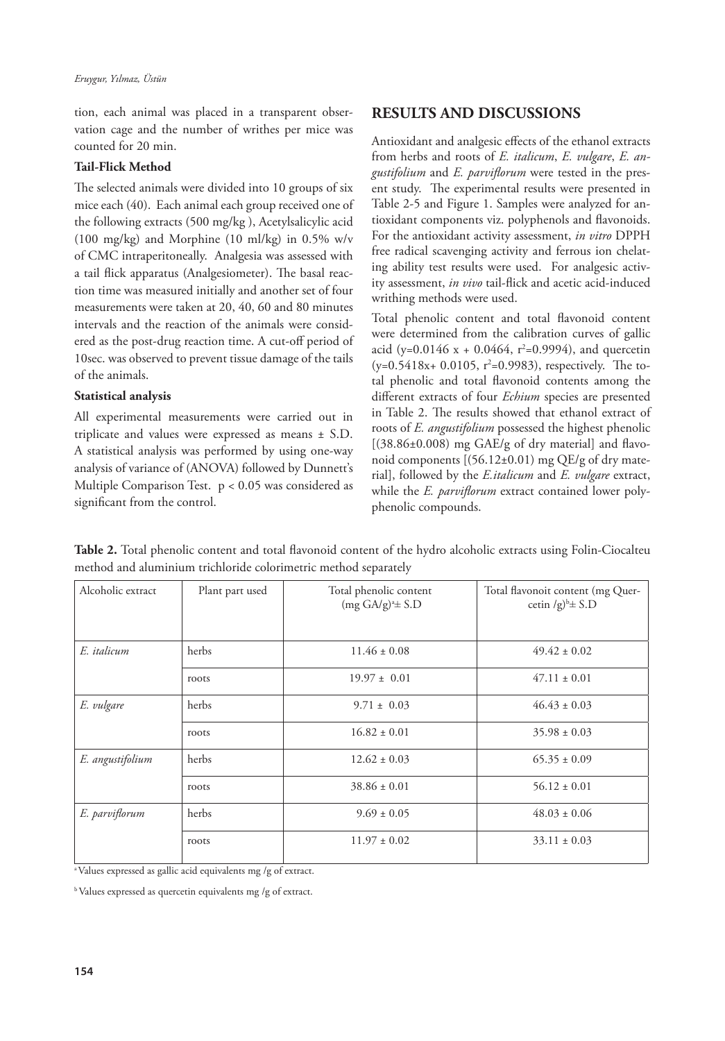tion, each animal was placed in a transparent observation cage and the number of writhes per mice was counted for 20 min.

## **Tail-Flick Method**

The selected animals were divided into 10 groups of six mice each (40). Each animal each group received one of the following extracts (500 mg/kg ), Acetylsalicylic acid (100 mg/kg) and Morphine (10 ml/kg) in 0.5% w/v of CMC intraperitoneally. Analgesia was assessed with a tail flick apparatus (Analgesiometer). The basal reaction time was measured initially and another set of four measurements were taken at 20, 40, 60 and 80 minutes intervals and the reaction of the animals were considered as the post-drug reaction time. A cut-off period of 10sec. was observed to prevent tissue damage of the tails of the animals.

## **Statistical analysis**

All experimental measurements were carried out in triplicate and values were expressed as means ± S.D. A statistical analysis was performed by using one-way analysis of variance of (ANOVA) followed by Dunnett's Multiple Comparison Test.  $p < 0.05$  was considered as significant from the control.

## **RESULTS AND DISCUSSIONS**

Antioxidant and analgesic effects of the ethanol extracts from herbs and roots of *E. italicum*, *E. vulgare*, *E. angustifolium* and *E. parviflorum* were tested in the present study. The experimental results were presented in Table 2-5 and Figure 1. Samples were analyzed for antioxidant components viz. polyphenols and flavonoids. For the antioxidant activity assessment, *in vitro* DPPH free radical scavenging activity and ferrous ion chelating ability test results were used. For analgesic activity assessment, *in vivo* tail-flick and acetic acid-induced writhing methods were used.

Total phenolic content and total flavonoid content were determined from the calibration curves of gallic acid (y=0.0146 x + 0.0464, r<sup>2</sup>=0.9994), and quercetin  $(y=0.5418x+ 0.0105, r^2=0.9983)$ , respectively. The total phenolic and total flavonoid contents among the different extracts of four *Echium* species are presented in Table 2. The results showed that ethanol extract of roots of *E. angustifolium* possessed the highest phenolic [(38.86±0.008) mg GAE/g of dry material] and flavonoid components  $[(56.12 \pm 0.01)$  mg QE/g of dry material], followed by the *E.italicum* and *E. vulgare* extract, while the *E. parviflorum* extract contained lower polyphenolic compounds.

| Alcoholic extract | Plant part used | Total phenolic content<br>$(mg G A/g)^{a}$ ± S.D | Total flavonoit content (mg Quer-<br>cetin /g) $b \pm$ S.D |
|-------------------|-----------------|--------------------------------------------------|------------------------------------------------------------|
| E. italicum       | herbs           | $11.46 \pm 0.08$                                 | $49.42 \pm 0.02$                                           |
|                   | roots           | $19.97 \pm 0.01$                                 | $47.11 \pm 0.01$                                           |
| E. vulgare        | herbs           | $9.71 \pm 0.03$                                  | $46.43 \pm 0.03$                                           |
|                   | roots           | $16.82 \pm 0.01$                                 | $35.98 \pm 0.03$                                           |
| E. angustifolium  | herbs           | $12.62 \pm 0.03$                                 | $65.35 \pm 0.09$                                           |
|                   | roots           | $38.86 \pm 0.01$                                 | $56.12 \pm 0.01$                                           |
| E. parviflorum    | herbs           | $9.69 \pm 0.05$                                  | $48.03 \pm 0.06$                                           |
|                   | roots           | $11.97 \pm 0.02$                                 | $33.11 \pm 0.03$                                           |

**Table 2.** Total phenolic content and total flavonoid content of the hydro alcoholic extracts using Folin-Ciocalteu method and aluminium trichloride colorimetric method separately

a Values expressed as gallic acid equivalents mg /g of extract.

b Values expressed as quercetin equivalents mg /g of extract.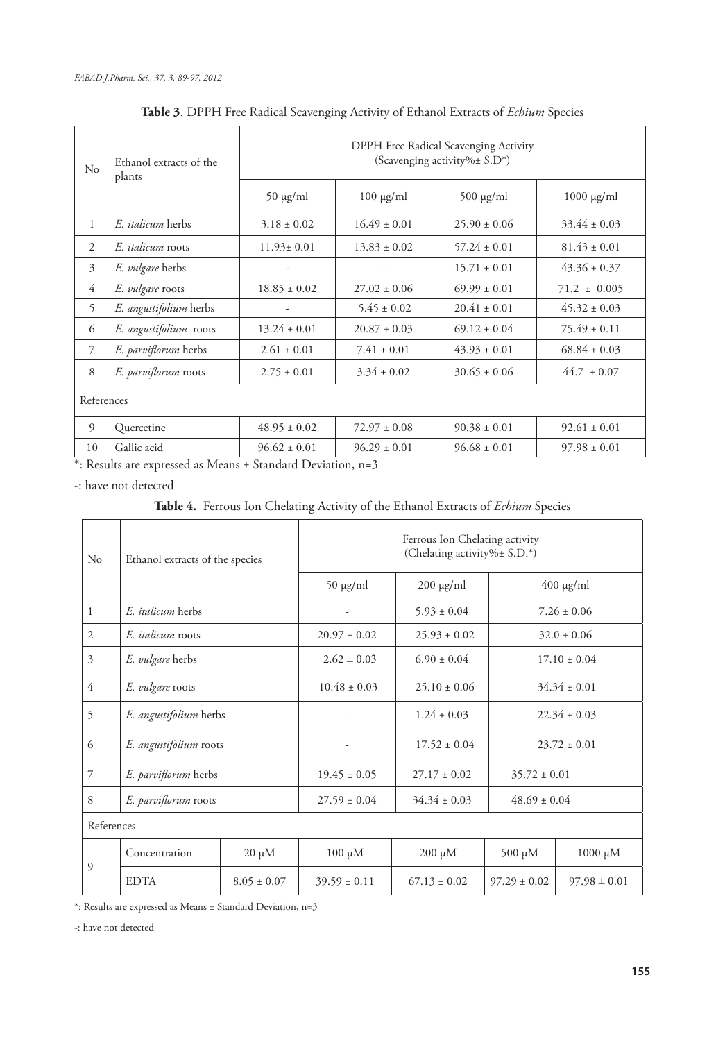| $\rm No$     | Ethanol extracts of the<br>plants | DPPH Free Radical Scavenging Activity<br>(Scavenging activity%± S.D*) |                  |                  |                  |  |  |  |
|--------------|-----------------------------------|-----------------------------------------------------------------------|------------------|------------------|------------------|--|--|--|
|              |                                   | $50 \mu g/ml$                                                         | $100 \mu g/ml$   | $500 \mu g/ml$   | $1000 \mu g/ml$  |  |  |  |
| $\mathbf{1}$ | E. <i>italicum</i> herbs          | $3.18 \pm 0.02$                                                       | $16.49 \pm 0.01$ | $25.90 \pm 0.06$ | $33.44 \pm 0.03$ |  |  |  |
| 2            | E. <i>italicum</i> roots          | $11.93 \pm 0.01$                                                      | $13.83 \pm 0.02$ | $57.24 \pm 0.01$ | $81.43 \pm 0.01$ |  |  |  |
| 3            | <i>E. vulgare</i> herbs           |                                                                       |                  | $15.71 \pm 0.01$ | $43.36 \pm 0.37$ |  |  |  |
| 4            | E. vulgare roots                  | $18.85 \pm 0.02$                                                      | $27.02 \pm 0.06$ | $69.99 \pm 0.01$ | $71.2 \pm 0.005$ |  |  |  |
| 5            | E. angustifolium herbs            |                                                                       | $5.45 \pm 0.02$  | $20.41 \pm 0.01$ | $45.32 \pm 0.03$ |  |  |  |
| 6            | E. angustifolium roots            | $13.24 \pm 0.01$                                                      | $20.87 \pm 0.03$ | $69.12 \pm 0.04$ | $75.49 \pm 0.11$ |  |  |  |
| 7            | E. parviflorum herbs              | $2.61 \pm 0.01$                                                       | $7.41 \pm 0.01$  | $43.93 \pm 0.01$ | $68.84 \pm 0.03$ |  |  |  |
| 8            | E. parviflorum roots              | $2.75 \pm 0.01$                                                       | $3.34 \pm 0.02$  | $30.65 \pm 0.06$ | $44.7 \pm 0.07$  |  |  |  |
| References   |                                   |                                                                       |                  |                  |                  |  |  |  |
| 9            | Quercetine                        | $48.95 \pm 0.02$                                                      | $72.97 \pm 0.08$ | $90.38 \pm 0.01$ | $92.61 \pm 0.01$ |  |  |  |
| 10           | Gallic acid                       | $96.62 \pm 0.01$                                                      | $96.29 \pm 0.01$ | $96.68 \pm 0.01$ | $97.98 \pm 0.01$ |  |  |  |

# **Table 3**. DPPH Free Radical Scavenging Activity of Ethanol Extracts of *Echium* Species

\*: Results are expressed as Means ± Standard Deviation, n=3

-: have not detected

**Table 4.** Ferrous Ion Chelating Activity of the Ethanol Extracts of *Echium* Species

| $\rm No$       | Ethanol extracts of the species |                 | Ferrous Ion Chelating activity<br>(Chelating activity%± S.D.*) |                  |                  |                  |  |  |
|----------------|---------------------------------|-----------------|----------------------------------------------------------------|------------------|------------------|------------------|--|--|
|                |                                 |                 | $50 \mu g/ml$                                                  | $200 \mu g/ml$   |                  | $400 \mu g/ml$   |  |  |
| 1              | E. <i>italicum</i> herbs        |                 | ٠                                                              | $5.93 \pm 0.04$  |                  | $7.26 \pm 0.06$  |  |  |
| $\overline{c}$ | E. <i>italicum</i> roots        |                 | $20.97 \pm 0.02$                                               | $25.93 \pm 0.02$ |                  | $32.0 \pm 0.06$  |  |  |
| 3              | E. vulgare herbs                |                 | $2.62 \pm 0.03$                                                | $6.90 \pm 0.04$  |                  | $17.10 \pm 0.04$ |  |  |
| 4              | E. vulgare roots                |                 | $10.48 \pm 0.03$                                               | $25.10 \pm 0.06$ |                  | $34.34 \pm 0.01$ |  |  |
| 5              | E. angustifolium herbs          |                 |                                                                | $1.24 \pm 0.03$  | $22.34 \pm 0.03$ |                  |  |  |
| 6              | E. angustifolium roots          |                 |                                                                | $17.52 \pm 0.04$ | $23.72 \pm 0.01$ |                  |  |  |
| 7              | E. parviflorum herbs            |                 | $19.45 \pm 0.05$                                               | $27.17 \pm 0.02$ | $35.72 \pm 0.01$ |                  |  |  |
| 8              | E. parviflorum roots            |                 | $27.59 \pm 0.04$                                               | $34.34 \pm 0.03$ | $48.69 \pm 0.04$ |                  |  |  |
| References     |                                 |                 |                                                                |                  |                  |                  |  |  |
| 9              | Concentration                   | $20 \mu M$      | $100 \mu M$                                                    | $200 \mu M$      | $500 \mu M$      | 1000 μM          |  |  |
|                | <b>EDTA</b>                     | $8.05 \pm 0.07$ | $39.59 \pm 0.11$                                               | $67.13 \pm 0.02$ | $97.29 \pm 0.02$ | $97.98 \pm 0.01$ |  |  |

 $^\ast\! :$  Results are expressed as Means  $\pm$  Standard Deviation, n=3

-: have not detected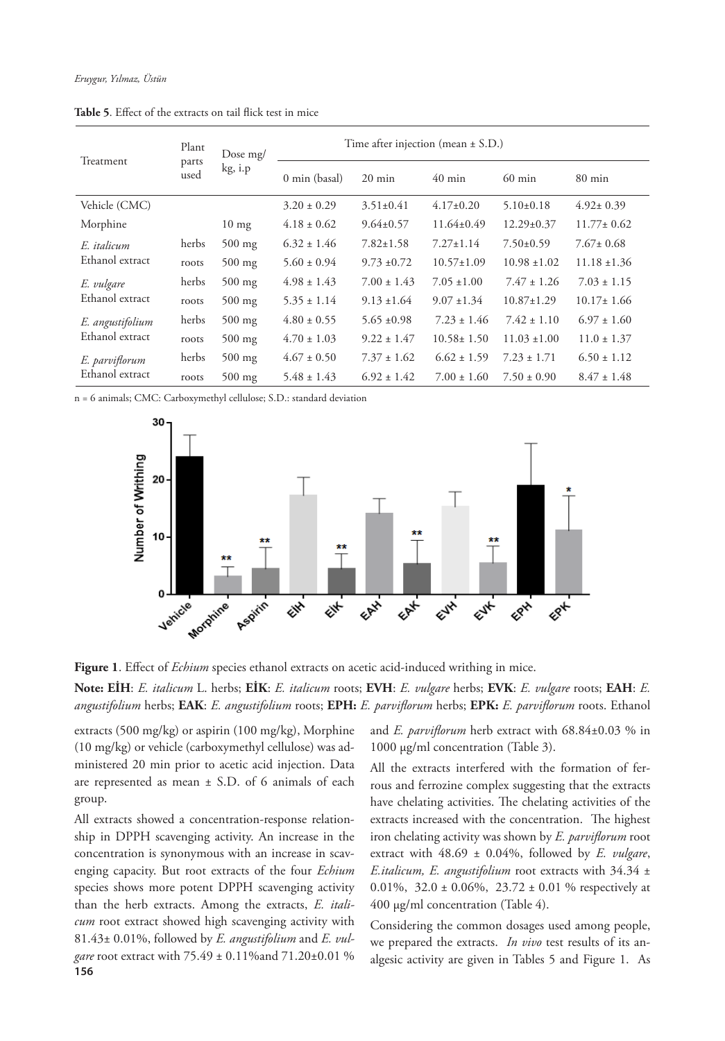|                  | Plant<br>parts<br>used | Dose $mg/$<br>kg, i.p | Time after injection (mean $\pm$ S.D.) |                  |                  |                  |                  |  |
|------------------|------------------------|-----------------------|----------------------------------------|------------------|------------------|------------------|------------------|--|
| Treatment        |                        |                       | 0 min (basal)                          | $20 \text{ min}$ | $40 \text{ min}$ | $60 \text{ min}$ | $80 \text{ min}$ |  |
| Vehicle (CMC)    |                        |                       | $3.20 \pm 0.29$                        | $3.51 \pm 0.41$  | $4.17\pm0.20$    | $5.10 \pm 0.18$  | $4.92 \pm 0.39$  |  |
| Morphine         |                        | $10 \text{ mg}$       | $4.18 \pm 0.62$                        | $9.64 \pm 0.57$  | $11.64 \pm 0.49$ | $12.29 \pm 0.37$ | $11.77 \pm 0.62$ |  |
| E. italicum      | herbs                  | $500$ mg              | $6.32 \pm 1.46$                        | $7.82 \pm 1.58$  | $7.27 \pm 1.14$  | $7.50 \pm 0.59$  | $7.67 \pm 0.68$  |  |
| Ethanol extract  | roots                  | $500$ mg              | $5.60 \pm 0.94$                        | $9.73 \pm 0.72$  | $10.57 \pm 1.09$ | $10.98 \pm 1.02$ | $11.18 \pm 1.36$ |  |
| E. vulgare       | herbs                  | $500$ mg              | $4.98 \pm 1.43$                        | $7.00 \pm 1.43$  | $7.05 \pm 1.00$  | $7.47 \pm 1.26$  | $7.03 \pm 1.15$  |  |
| Ethanol extract  | roots                  | $500$ mg              | $5.35 \pm 1.14$                        | $9.13 \pm 1.64$  | $9.07 \pm 1.34$  | $10.87 \pm 1.29$ | $10.17 \pm 1.66$ |  |
| E. angustifolium | herbs                  | $500$ mg              | $4.80 \pm 0.55$                        | $5.65 \pm 0.98$  | $7.23 \pm 1.46$  | $7.42 \pm 1.10$  | $6.97 \pm 1.60$  |  |
| Ethanol extract  | roots                  | $500$ mg              | $4.70 \pm 1.03$                        | $9.22 \pm 1.47$  | $10.58 \pm 1.50$ | $11.03 \pm 1.00$ | $11.0 \pm 1.37$  |  |
| E. parviflorum   | herbs                  | $500$ mg              | $4.67 \pm 0.50$                        | $7.37 \pm 1.62$  | $6.62 \pm 1.59$  | $7.23 \pm 1.71$  | $6.50 \pm 1.12$  |  |
| Ethanol extract  | roots                  | $500$ mg              | $5.48 \pm 1.43$                        | $6.92 \pm 1.42$  | $7.00 \pm 1.60$  | $7.50 \pm 0.90$  | $8.47 \pm 1.48$  |  |

**Table 5**. Effect of the extracts on tail flick test in mice

n = 6 animals; CMC: Carboxymethyl cellulose; S.D.: standard deviation





**Note: EİH**: *E. italicum* L. herbs; **EİK**: *E. italicum* roots; **EVH**: *E. vulgare* herbs; **EVK**: *E. vulgare* roots; **EAH**: *E. angustifolium* herbs; **EAK**: *E. angustifolium* roots; **EPH:** *E. parviflorum* herbs; **EPK:** *E. parviflorum* roots. Ethanol

extracts (500 mg/kg) or aspirin (100 mg/kg), Morphine (10 mg/kg) or vehicle (carboxymethyl cellulose) was administered 20 min prior to acetic acid injection. Data are represented as mean  $\pm$  S.D. of 6 animals of each group.

**156** All extracts showed a concentration-response relationship in DPPH scavenging activity. An increase in the concentration is synonymous with an increase in scavenging capacity. But root extracts of the four *Echium* species shows more potent DPPH scavenging activity than the herb extracts. Among the extracts, *E. italicum* root extract showed high scavenging activity with 81.43± 0.01%, followed by *E. angustifolium* and *E. vulgare* root extract with 75.49 ± 0.11%and 71.20±0.01 % and *E. parviflorum* herb extract with 68.84±0.03 % in 1000 µg/ml concentration (Table 3).

All the extracts interfered with the formation of ferrous and ferrozine complex suggesting that the extracts have chelating activities. The chelating activities of the extracts increased with the concentration. The highest iron chelating activity was shown by *E. parviflorum* root extract with 48.69 ± 0.04%, followed by *E. vulgare*, *E.italicum, E. angustifolium* root extracts with 34.34 ± 0.01%,  $32.0 \pm 0.06\%$ ,  $23.72 \pm 0.01$  % respectively at 400 µg/ml concentration (Table 4).

Considering the common dosages used among people, we prepared the extracts. *In vivo* test results of its analgesic activity are given in Tables 5 and Figure 1. As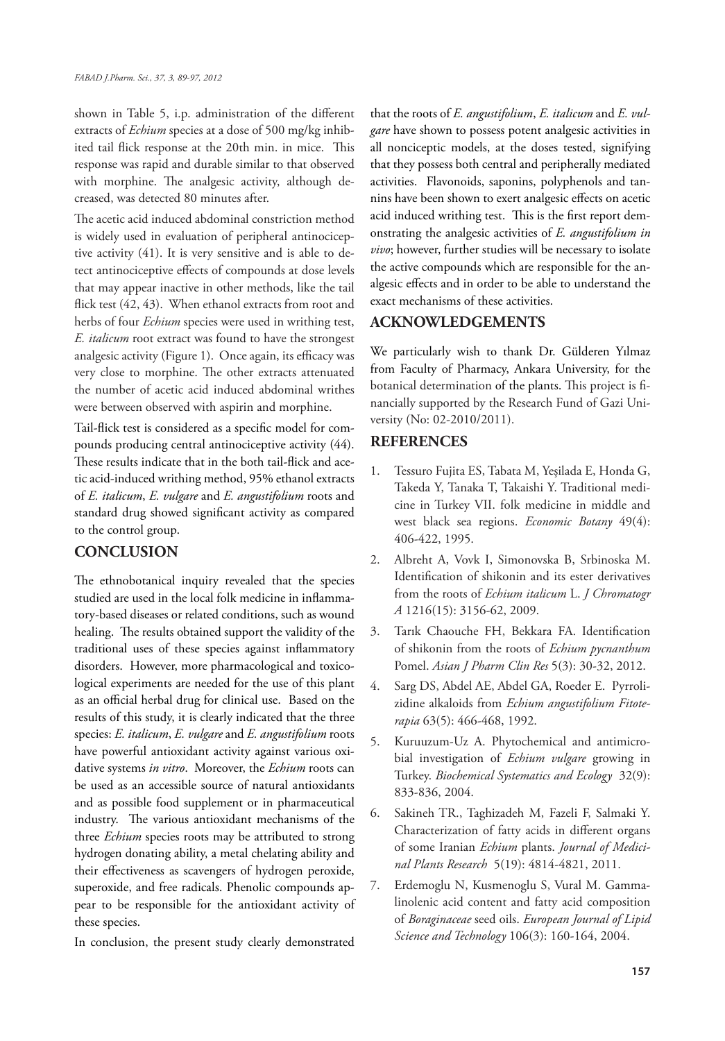shown in Table 5, i.p. administration of the different extracts of *Echium* species at a dose of 500 mg/kg inhibited tail flick response at the 20th min. in mice. This response was rapid and durable similar to that observed with morphine. The analgesic activity, although decreased, was detected 80 minutes after.

The acetic acid induced abdominal constriction method is widely used in evaluation of peripheral antinociceptive activity (41). It is very sensitive and is able to detect antinociceptive effects of compounds at dose levels that may appear inactive in other methods, like the tail flick test (42, 43). When ethanol extracts from root and herbs of four *Echium* species were used in writhing test, *E. italicum* root extract was found to have the strongest analgesic activity (Figure 1). Once again, its efficacy was very close to morphine. The other extracts attenuated the number of acetic acid induced abdominal writhes were between observed with aspirin and morphine.

Tail-flick test is considered as a specific model for compounds producing central antinociceptive activity (44). These results indicate that in the both tail-flick and acetic acid-induced writhing method, 95% ethanol extracts of *E. italicum*, *E. vulgare* and *E. angustifolium* roots and standard drug showed significant activity as compared to the control group.

## **CONCLUSION**

The ethnobotanical inquiry revealed that the species studied are used in the local folk medicine in inflammatory-based diseases or related conditions, such as wound healing. The results obtained support the validity of the traditional uses of these species against inflammatory disorders. However, more pharmacological and toxicological experiments are needed for the use of this plant as an official herbal drug for clinical use. Based on the results of this study, it is clearly indicated that the three species: *E. italicum*, *E. vulgare* and *E. angustifolium* roots have powerful antioxidant activity against various oxidative systems *in vitro*. Moreover, the *Echium* roots can be used as an accessible source of natural antioxidants and as possible food supplement or in pharmaceutical industry. The various antioxidant mechanisms of the three *Echium* species roots may be attributed to strong hydrogen donating ability, a metal chelating ability and their effectiveness as scavengers of hydrogen peroxide, superoxide, and free radicals. Phenolic compounds appear to be responsible for the antioxidant activity of these species.

In conclusion, the present study clearly demonstrated

that the roots of *E. angustifolium*, *E. italicum* and *E. vulgare* have shown to possess potent analgesic activities in all nonciceptic models, at the doses tested, signifying that they possess both central and peripherally mediated activities. Flavonoids, saponins, polyphenols and tannins have been shown to exert analgesic effects on acetic acid induced writhing test. This is the first report demonstrating the analgesic activities of *E. angustifolium in vivo*; however, further studies will be necessary to isolate the active compounds which are responsible for the analgesic effects and in order to be able to understand the exact mechanisms of these activities.

## **ACKNOWLEDGEMENTS**

We particularly wish to thank Dr. Gülderen Yılmaz from Faculty of Pharmacy, Ankara University, for the botanical determination of the plants. This project is financially supported by the Research Fund of Gazi University (No: 02-2010/2011).

## **REFERENCES**

- 1. Tessuro Fujita ES, Tabata M, Yeşilada E, Honda G, Takeda Y, Tanaka T, Takaishi Y. Traditional medicine in Turkey VII. folk medicine in middle and west black sea regions. *Economic Botany* 49(4): 406-422, 1995.
- 2. Albreht A, Vovk I, Simonovska B, Srbinoska M. Identification of shikonin and its ester derivatives from the roots of *Echium italicum* L. *J Chromatogr A* 1216(15): 3156-62, 2009.
- 3. Tarık Chaouche FH, Bekkara FA. Identification of shikonin from the roots of *Echium pycnanthum* Pomel. *Asian J Pharm Clin Res* 5(3): 30-32, 2012.
- 4. Sarg DS, Abdel AE, Abdel GA, Roeder E. Pyrrolizidine alkaloids from *Echium angustifolium Fitoterapia* 63(5): 466-468, 1992.
- 5. Kuruuzum-Uz A. Phytochemical and antimicrobial investigation of *Echium vulgare* growing in Turkey. *Biochemical Systematics and Ecology* 32(9): 833-836, 2004.
- 6. Sakineh TR., Taghizadeh M, Fazeli F, Salmaki Y. Characterization of fatty acids in different organs of some Iranian *Echium* plants. *Journal of Medicinal Plants Research* 5(19): 4814-4821, 2011.
- 7. Erdemoglu N, Kusmenoglu S, Vural M. Gammalinolenic acid content and fatty acid composition of *Boraginaceae* seed oils. *European Journal of Lipid Science and Technology* 106(3): 160-164, 2004.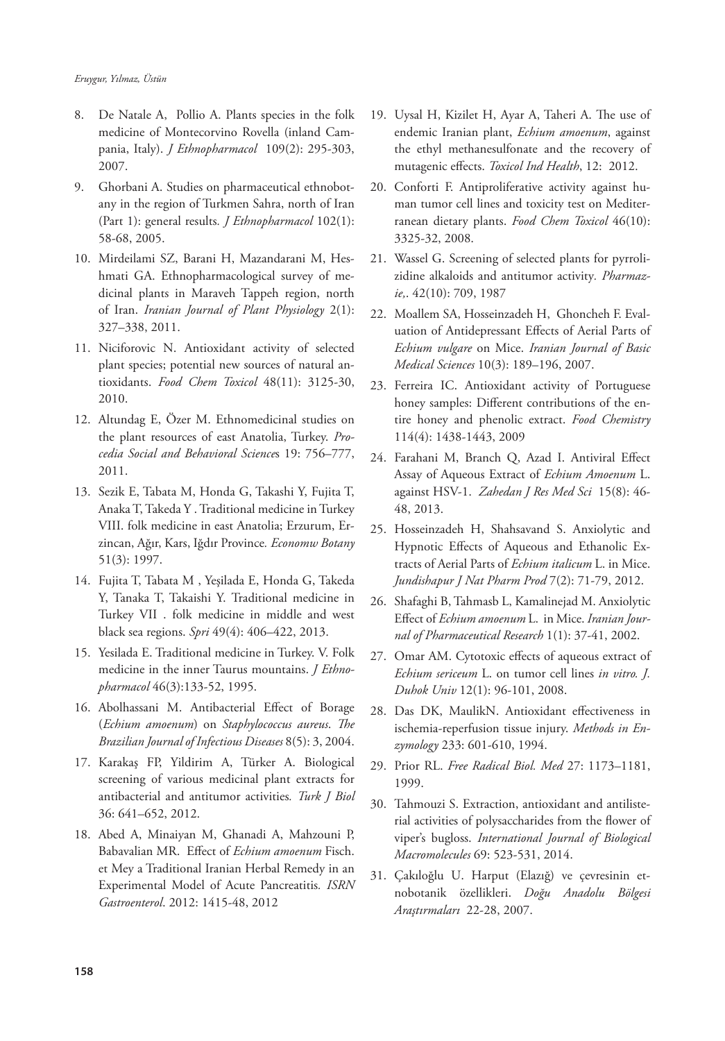- 8. De Natale A, Pollio A. Plants species in the folk medicine of Montecorvino Rovella (inland Campania, Italy). *J Ethnopharmacol* 109(2): 295-303, 2007.
- 9. Ghorbani A. Studies on pharmaceutical ethnobotany in the region of Turkmen Sahra, north of Iran (Part 1): general results*. J Ethnopharmacol* 102(1): 58-68, 2005.
- 10. Mirdeilami SZ, Barani H, Mazandarani M, Heshmati GA. Ethnopharmacological survey of medicinal plants in Maraveh Tappeh region, north of Iran. *Iranian Journal of Plant Physiology* 2(1): 327–338, 2011.
- 11. Niciforovic N. Antioxidant activity of selected plant species; potential new sources of natural antioxidants. *Food Chem Toxicol* 48(11): 3125-30, 2010.
- 12. Altundag E, Özer M. Ethnomedicinal studies on the plant resources of east Anatolia, Turkey. *Procedia Social and Behavioral Science*s 19: 756–777, 2011.
- 13. Sezik E, Tabata M, Honda G, Takashi Y, Fujita T, Anaka T, Takeda Y . Traditional medicine in Turkey VIII. folk medicine in east Anatolia; Erzurum, Erzincan, Ağır, Kars, Iğdır Province*. Economw Botany* 51(3): 1997.
- 14. Fujita T, Tabata M , Yeşilada E, Honda G, Takeda Y, Tanaka T, Takaishi Y. Traditional medicine in Turkey VII . folk medicine in middle and west black sea regions. *Spri* 49(4): 406–422, 2013.
- 15. Yesilada E. Traditional medicine in Turkey. V. Folk medicine in the inner Taurus mountains. *J Ethnopharmacol* 46(3):133-52, 1995.
- 16. Abolhassani M. Antibacterial Effect of Borage (*Echium amoenum*) on *Staphylococcus aureus*. *The Brazilian Journal of Infectious Diseases* 8(5): 3, 2004.
- 17. Karakaş FP, Yildirim A, Türker A. Biological screening of various medicinal plant extracts for antibacterial and antitumor activities*. Turk J Biol* 36: 641–652, 2012.
- 18. Abed A, Minaiyan M, Ghanadi A, Mahzouni P, Babavalian MR. Effect of *Echium amoenum* Fisch. et Mey a Traditional Iranian Herbal Remedy in an Experimental Model of Acute Pancreatitis*. ISRN Gastroenterol*. 2012: 1415-48, 2012
- 19. Uysal H, Kizilet H, Ayar A, Taheri A. The use of endemic Iranian plant, *Echium amoenum*, against the ethyl methanesulfonate and the recovery of mutagenic effects. *Toxicol Ind Health*, 12: 2012.
- 20. Conforti F. Antiproliferative activity against human tumor cell lines and toxicity test on Mediterranean dietary plants. *Food Chem Toxicol* 46(10): 3325-32, 2008.
- 21. Wassel G. Screening of selected plants for pyrrolizidine alkaloids and antitumor activity*. Pharmazie,*. 42(10): 709, 1987
- 22. Moallem SA, Hosseinzadeh H, Ghoncheh F. Evaluation of Antidepressant Effects of Aerial Parts of *Echium vulgare* on Mice. *Iranian Journal of Basic Medical Sciences* 10(3): 189–196, 2007.
- 23. Ferreira IC. Antioxidant activity of Portuguese honey samples: Different contributions of the entire honey and phenolic extract. *Food Chemistry* 114(4): 1438-1443, 2009
- 24. Farahani M, Branch Q, Azad I. Antiviral Effect Assay of Aqueous Extract of *Echium Amoenum* L. against HSV-1. *Zahedan J Res Med Sci* 15(8): 46- 48, 2013.
- 25. Hosseinzadeh H, Shahsavand S. Anxiolytic and Hypnotic Effects of Aqueous and Ethanolic Extracts of Aerial Parts of *Echium italicum* L. in Mice. *Jundishapur J Nat Pharm Prod* 7(2): 71-79, 2012.
- 26. Shafaghi B, Tahmasb L, Kamalinejad M. Anxiolytic Effect of *Echium amoenum* L. in Mice. *Iranian Journal of Pharmaceutical Research* 1(1): 37-41, 2002.
- 27. Omar AM. Cytotoxic effects of aqueous extract of *Echium sericeum* L. on tumor cell lines *in vitro. J. Duhok Univ* 12(1): 96-101, 2008.
- 28. Das DK, MaulikN. Antioxidant effectiveness in ischemia-reperfusion tissue injury. *Methods in Enzymology* 233: 601-610, 1994.
- 29. Prior RL. *Free Radical Biol. Med* 27: 1173–1181, 1999.
- 30. Tahmouzi S. Extraction, antioxidant and antilisterial activities of polysaccharides from the flower of viper's bugloss. *International Journal of Biological Macromolecules* 69: 523-531, 2014.
- 31. Çakıloğlu U. Harput (Elazığ) ve çevresinin etnobotanik özellikleri. *Doğu Anadolu Bölgesi Araştırmaları* 22-28, 2007.